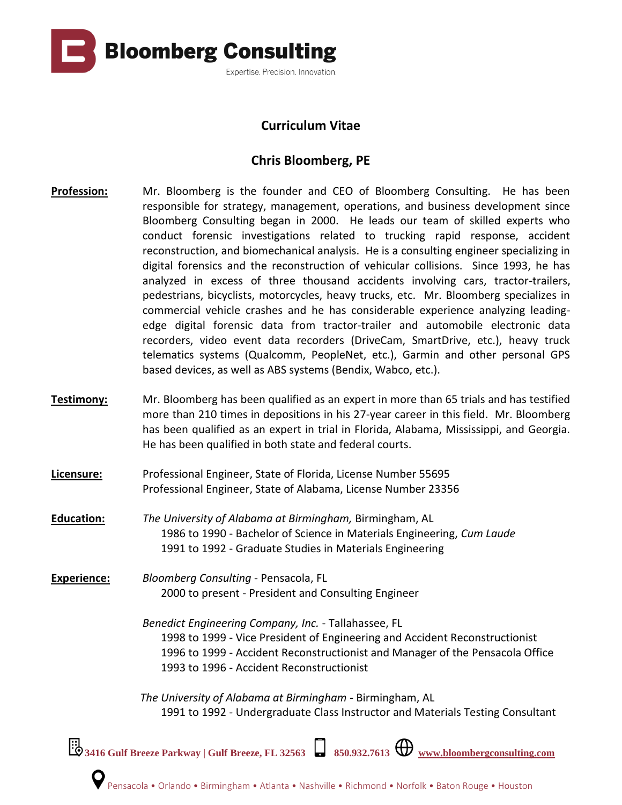

## **Curriculum Vitae**

## **Chris Bloomberg, PE**

- **Profession:** Mr. Bloomberg is the founder and CEO of Bloomberg Consulting. He has been responsible for strategy, management, operations, and business development since Bloomberg Consulting began in 2000. He leads our team of skilled experts who conduct forensic investigations related to trucking rapid response, accident reconstruction, and biomechanical analysis. He is a consulting engineer specializing in digital forensics and the reconstruction of vehicular collisions. Since 1993, he has analyzed in excess of three thousand accidents involving cars, tractor-trailers, pedestrians, bicyclists, motorcycles, heavy trucks, etc. Mr. Bloomberg specializes in commercial vehicle crashes and he has considerable experience analyzing leadingedge digital forensic data from tractor-trailer and automobile electronic data recorders, video event data recorders (DriveCam, SmartDrive, etc.), heavy truck telematics systems (Qualcomm, PeopleNet, etc.), Garmin and other personal GPS based devices, as well as ABS systems (Bendix, Wabco, etc.).
- **Testimony:** Mr. Bloomberg has been qualified as an expert in more than 65 trials and has testified more than 210 times in depositions in his 27-year career in this field. Mr. Bloomberg has been qualified as an expert in trial in Florida, Alabama, Mississippi, and Georgia. He has been qualified in both state and federal courts.
- **Licensure:** Professional Engineer, State of Florida, License Number 55695 Professional Engineer, State of Alabama, License Number 23356
- **Education:** *The University of Alabama at Birmingham,* Birmingham, AL 1986 to 1990 - Bachelor of Science in Materials Engineering, *Cum Laude* 1991 to 1992 - Graduate Studies in Materials Engineering
- **Experience:** *Bloomberg Consulting*  Pensacola, FL 2000 to present - President and Consulting Engineer
	- *Benedict Engineering Company, Inc.* Tallahassee, FL 1998 to 1999 - Vice President of Engineering and Accident Reconstructionist 1996 to 1999 - Accident Reconstructionist and Manager of the Pensacola Office 1993 to 1996 - Accident Reconstructionist
	- *The University of Alabama at Birmingham -* Birmingham, AL 1991 to 1992 - Undergraduate Class Instructor and Materials Testing Consultant

**3416 Gulf Breeze Parkway | Gulf Breeze, FL 32563 850.932.7613 [www.bloombergconsulting.com](http://www.bloombergconsulting.com/)**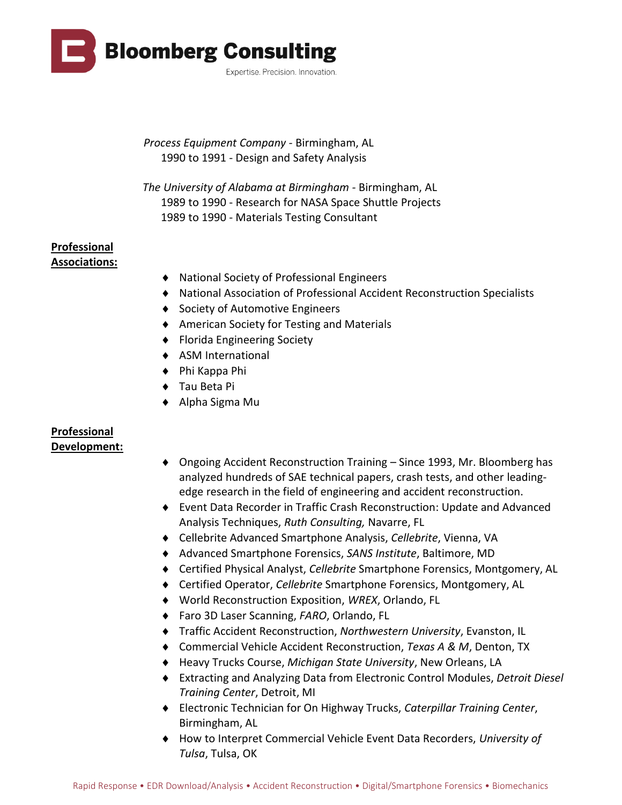

 *Process Equipment Company -* Birmingham, AL 1990 to 1991 - Design and Safety Analysis

*The University of Alabama at Birmingham -* Birmingham, AL 1989 to 1990 - Research for NASA Space Shuttle Projects 1989 to 1990 - Materials Testing Consultant

## **Professional Associations:**

- National Society of Professional Engineers
- National Association of Professional Accident Reconstruction Specialists
- ◆ Society of Automotive Engineers
- American Society for Testing and Materials
- ◆ Florida Engineering Society
- ◆ ASM International
- ◆ Phi Kappa Phi
- ◆ Tau Beta Pi
- Alpha Sigma Mu

## **Professional Development:**

- Ongoing Accident Reconstruction Training Since 1993, Mr. Bloomberg has analyzed hundreds of SAE technical papers, crash tests, and other leadingedge research in the field of engineering and accident reconstruction.
- Event Data Recorder in Traffic Crash Reconstruction: Update and Advanced Analysis Techniques, *Ruth Consulting,* Navarre, FL
- Cellebrite Advanced Smartphone Analysis, *Cellebrite*, Vienna, VA
- Advanced Smartphone Forensics, *SANS Institute*, Baltimore, MD
- Certified Physical Analyst, *Cellebrite* Smartphone Forensics, Montgomery, AL
- Certified Operator, *Cellebrite* Smartphone Forensics, Montgomery, AL
- World Reconstruction Exposition, *WREX*, Orlando, FL
- Faro 3D Laser Scanning, *FARO*, Orlando, FL
- Traffic Accident Reconstruction, *Northwestern University*, Evanston, IL
- Commercial Vehicle Accident Reconstruction, *Texas A & M*, Denton, TX
- Heavy Trucks Course, *Michigan State University*, New Orleans, LA
- Extracting and Analyzing Data from Electronic Control Modules, *Detroit Diesel Training Center*, Detroit, MI
- Electronic Technician for On Highway Trucks, *Caterpillar Training Center*, Birmingham, AL
- How to Interpret Commercial Vehicle Event Data Recorders, *University of Tulsa*, Tulsa, OK